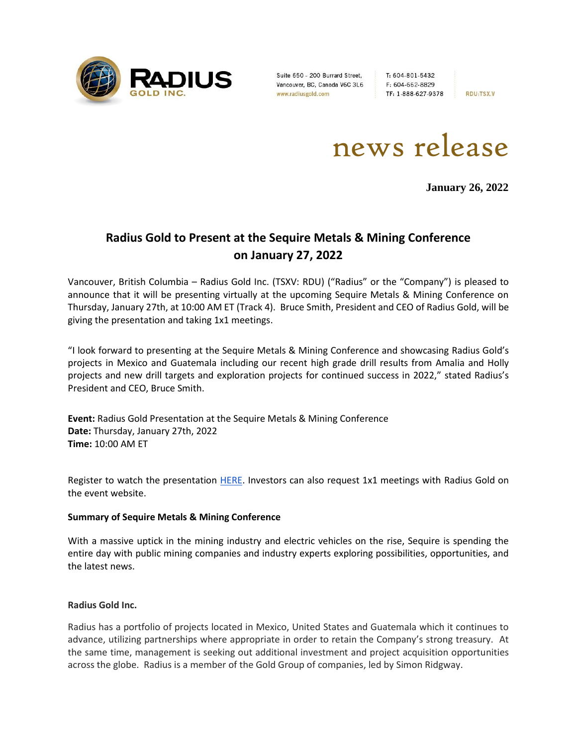

Suite 650 - 200 Burrard Street, Vancouver, BC, Canada V6C 3L6 www.radiusgold.com

T: 604-801-5432 F: 604-662-8829 TF: 1-888-627-9378

**RDU:TSX.V** 

news release

**January 26, 2022**

# **Radius Gold to Present at the Sequire Metals & Mining Conference on January 27, 2022**

Vancouver, British Columbia – Radius Gold Inc. (TSXV: RDU) ("Radius" or the "Company") is pleased to announce that it will be presenting virtually at the upcoming Sequire Metals & Mining Conference on Thursday, January 27th, at 10:00 AM ET (Track 4). Bruce Smith, President and CEO of Radius Gold, will be giving the presentation and taking 1x1 meetings.

"I look forward to presenting at the Sequire Metals & Mining Conference and showcasing Radius Gold's projects in Mexico and Guatemala including our recent high grade drill results from Amalia and Holly projects and new drill targets and exploration projects for continued success in 2022," stated Radius's President and CEO, Bruce Smith.

**Event:** Radius Gold Presentation at the Sequire Metals & Mining Conference **Date:** Thursday, January 27th, 2022 **Time:** 10:00 AM ET

Register to watch the presentation [HERE.](https://mining21.mysequire.com/) Investors can also request 1x1 meetings with Radius Gold on the event website.

## **Summary of Sequire Metals & Mining Conference**

With a massive uptick in the mining industry and electric vehicles on the rise, Sequire is spending the entire day with public mining companies and industry experts exploring possibilities, opportunities, and the latest news.

## **Radius Gold Inc.**

Radius has a portfolio of projects located in Mexico, United States and Guatemala which it continues to advance, utilizing partnerships where appropriate in order to retain the Company's strong treasury. At the same time, management is seeking out additional investment and project acquisition opportunities across the globe. Radius is a member of the Gold Group of companies, led by Simon Ridgway.